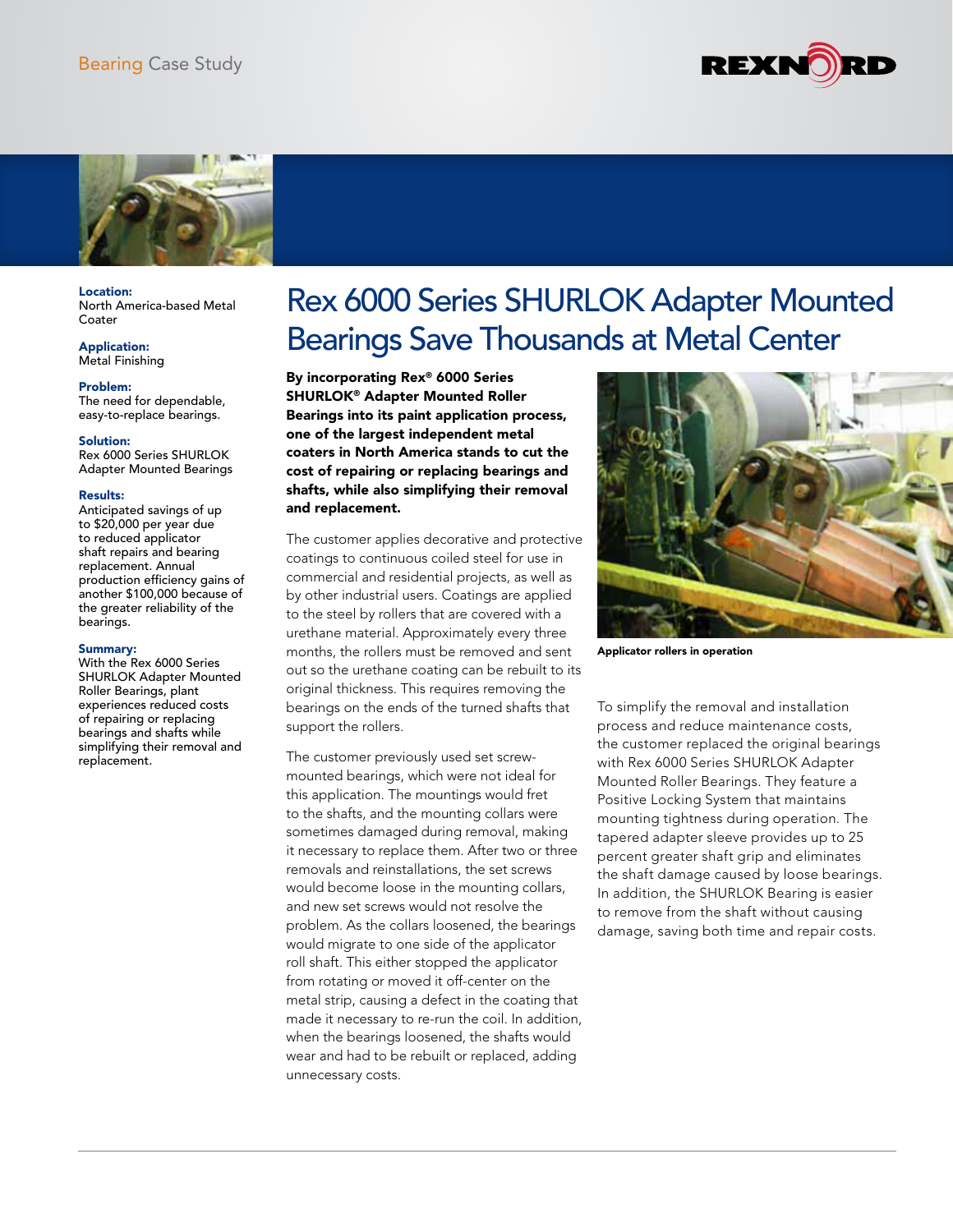



Location: North America-based Metal Coater

Application: Metal Finishing

Problem:

The need for dependable, easy-to-replace bearings.

## Solution:

Rex 6000 Series SHURLOK Adapter Mounted Bearings

## Results:

Anticipated savings of up to \$20,000 per year due to reduced applicator shaft repairs and bearing replacement. Annual production efficiency gains of another \$100,000 because of the greater reliability of the bearings.

## Summary:

With the Rex 6000 Series SHURLOK Adapter Mounted Roller Bearings, plant experiences reduced costs of repairing or replacing bearings and shafts while simplifying their removal and replacement.

## Rex 6000 Series SHURLOK Adapter Mounted Bearings Save Thousands at Metal Center

By incorporating Rex® 6000 Series SHURLOK® Adapter Mounted Roller Bearings into its paint application process, one of the largest independent metal coaters in North America stands to cut the cost of repairing or replacing bearings and shafts, while also simplifying their removal and replacement.

The customer applies decorative and protective coatings to continuous coiled steel for use in commercial and residential projects, as well as by other industrial users. Coatings are applied to the steel by rollers that are covered with a urethane material. Approximately every three months, the rollers must be removed and sent out so the urethane coating can be rebuilt to its original thickness. This requires removing the bearings on the ends of the turned shafts that support the rollers.

The customer previously used set screwmounted bearings, which were not ideal for this application. The mountings would fret to the shafts, and the mounting collars were sometimes damaged during removal, making it necessary to replace them. After two or three removals and reinstallations, the set screws would become loose in the mounting collars, and new set screws would not resolve the problem. As the collars loosened, the bearings would migrate to one side of the applicator roll shaft. This either stopped the applicator from rotating or moved it off-center on the metal strip, causing a defect in the coating that made it necessary to re-run the coil. In addition, when the bearings loosened, the shafts would wear and had to be rebuilt or replaced, adding unnecessary costs.



Applicator rollers in operation

To simplify the removal and installation process and reduce maintenance costs, the customer replaced the original bearings with Rex 6000 Series SHURLOK Adapter Mounted Roller Bearings. They feature a Positive Locking System that maintains mounting tightness during operation. The tapered adapter sleeve provides up to 25 percent greater shaft grip and eliminates the shaft damage caused by loose bearings. In addition, the SHURLOK Bearing is easier to remove from the shaft without causing damage, saving both time and repair costs.